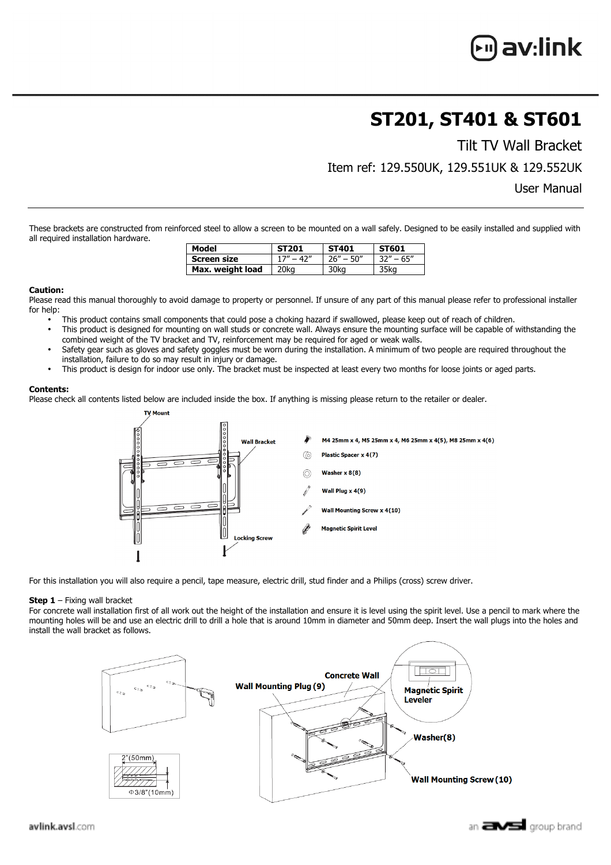## **ST201, ST401 & ST601**

Tilt TV Wall Bracket

Item ref: 129.550UK, 129.551UK & 129.552UK

User Manual

These brackets are constructed from reinforced steel to allow a screen to be mounted on a wall safely. Designed to be easily installed and supplied with all required installation hardware.

| Model            | <b>ST201</b> | <b>ST401</b>  | ST601         |
|------------------|--------------|---------------|---------------|
| Screen size      | $17" - 42"$  | $26'' - 50''$ | $32'' - 65''$ |
| Max. weight load | 20ka         | 30ka          | 35ka          |

## **Caution:**

Please read this manual thoroughly to avoid damage to property or personnel. If unsure of any part of this manual please refer to professional installer for help:

- This product contains small components that could pose a choking hazard if swallowed, please keep out of reach of children.
- This product is designed for mounting on wall studs or concrete wall. Always ensure the mounting surface will be capable of withstanding the combined weight of the TV bracket and TV, reinforcement may be required for aged or weak walls.
- Safety gear such as gloves and safety goggles must be worn during the installation. A minimum of two people are required throughout the installation, failure to do so may result in injury or damage.
- This product is design for indoor use only. The bracket must be inspected at least every two months for loose joints or aged parts.

## **Contents:**

Please check all contents listed below are included inside the box. If anything is missing please return to the retailer or dealer.



For this installation you will also require a pencil, tape measure, electric drill, stud finder and a Philips (cross) screw driver.

## **Step 1** – Fixing wall bracket

For concrete wall installation first of all work out the height of the installation and ensure it is level using the spirit level. Use a pencil to mark where the mounting holes will be and use an electric drill to drill a hole that is around 10mm in diameter and 50mm deep. Insert the wall plugs into the holes and install the wall bracket as follows.